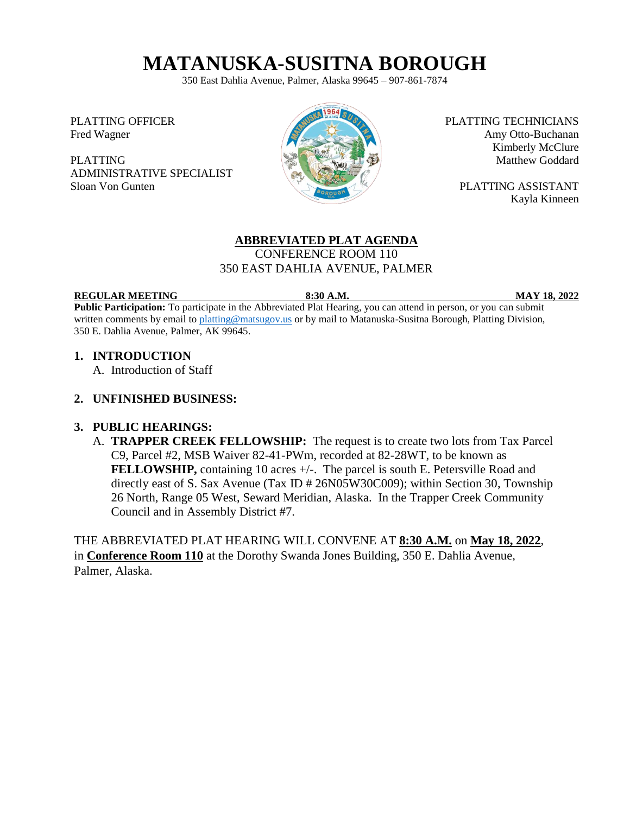# **MATANUSKA-SUSITNA BOROUGH**

350 East Dahlia Avenue, Palmer, Alaska 99645 – 907-861-7874

PLATTING OFFICER Fred Wagner

PLATTING ADMINISTRATIVE SPECIALIST Sloan Von Gunten



PLATTING TECHNICIANS Amy Otto-Buchanan Kimberly McClure Matthew Goddard

PLATTING ASSISTANT Kayla Kinneen

### **ABBREVIATED PLAT AGENDA**

CONFERENCE ROOM 110 350 EAST DAHLIA AVENUE, PALMER

#### **REGULAR MEETING 8:30 A.M. MAY 18, 2022**

**Public Participation:** To participate in the Abbreviated Plat Hearing, you can attend in person, or you can submit written comments by email to [platting@matsugov.us](mailto:platting@matsugov.us) or by mail to Matanuska-Susitna Borough, Platting Division, 350 E. Dahlia Avenue, Palmer, AK 99645.

#### **1. INTRODUCTION**

A. Introduction of Staff

#### **2. UNFINISHED BUSINESS:**

#### **3. PUBLIC HEARINGS:**

A. **TRAPPER CREEK FELLOWSHIP:** The request is to create two lots from Tax Parcel C9, Parcel #2, MSB Waiver 82-41-PWm, recorded at 82-28WT, to be known as **FELLOWSHIP,** containing 10 acres  $+\prime$ -. The parcel is south E. Petersville Road and directly east of S. Sax Avenue (Tax ID # 26N05W30C009); within Section 30, Township 26 North, Range 05 West, Seward Meridian, Alaska. In the Trapper Creek Community Council and in Assembly District #7.

THE ABBREVIATED PLAT HEARING WILL CONVENE AT **8:30 A.M.** on **May 18, 2022**, in **Conference Room 110** at the Dorothy Swanda Jones Building, 350 E. Dahlia Avenue, Palmer, Alaska.